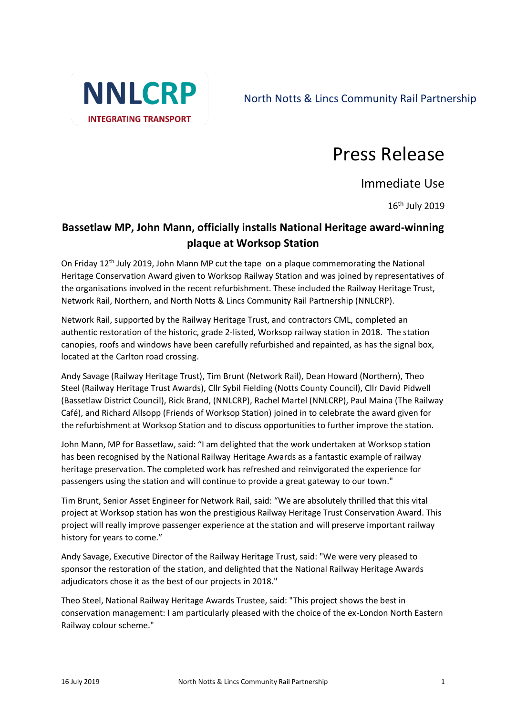

North Notts & Lincs Community Rail Partnership

## Press Release

Immediate Use

16 th July 2019

## **Bassetlaw MP, John Mann, officially installs National Heritage award-winning plaque at Worksop Station**

On Friday 12th July 2019, John Mann MP cut the tape on a plaque commemorating the National Heritage Conservation Award given to Worksop Railway Station and was joined by representatives of the organisations involved in the recent refurbishment. These included the Railway Heritage Trust, Network Rail, Northern, and North Notts & Lincs Community Rail Partnership (NNLCRP).

Network Rail, supported by the Railway Heritage Trust, and contractors CML, completed an authentic restoration of the historic, grade 2-listed, Worksop railway station in 2018. The station canopies, roofs and windows have been carefully refurbished and repainted, as has the signal box, located at the Carlton road crossing.

Andy Savage (Railway Heritage Trust), Tim Brunt (Network Rail), Dean Howard (Northern), Theo Steel (Railway Heritage Trust Awards), Cllr Sybil Fielding (Notts County Council), Cllr David Pidwell (Bassetlaw District Council), Rick Brand, (NNLCRP), Rachel Martel (NNLCRP), Paul Maina (The Railway Café), and Richard Allsopp (Friends of Worksop Station) joined in to celebrate the award given for the refurbishment at Worksop Station and to discuss opportunities to further improve the station.

John Mann, MP for Bassetlaw, said: "I am delighted that the work undertaken at Worksop station has been recognised by the National Railway Heritage Awards as a fantastic example of railway heritage preservation. The completed work has refreshed and reinvigorated the experience for passengers using the station and will continue to provide a great gateway to our town."

Tim Brunt, Senior Asset Engineer for Network Rail, said: "We are absolutely thrilled that this vital project at Worksop station has won the prestigious Railway Heritage Trust Conservation Award. This project will really improve passenger experience at the station and will preserve important railway history for years to come."

Andy Savage, Executive Director of the Railway Heritage Trust, said: "We were very pleased to sponsor the restoration of the station, and delighted that the National Railway Heritage Awards adjudicators chose it as the best of our projects in 2018."

Theo Steel, National Railway Heritage Awards Trustee, said: "This project shows the best in conservation management: I am particularly pleased with the choice of the ex-London North Eastern Railway colour scheme."